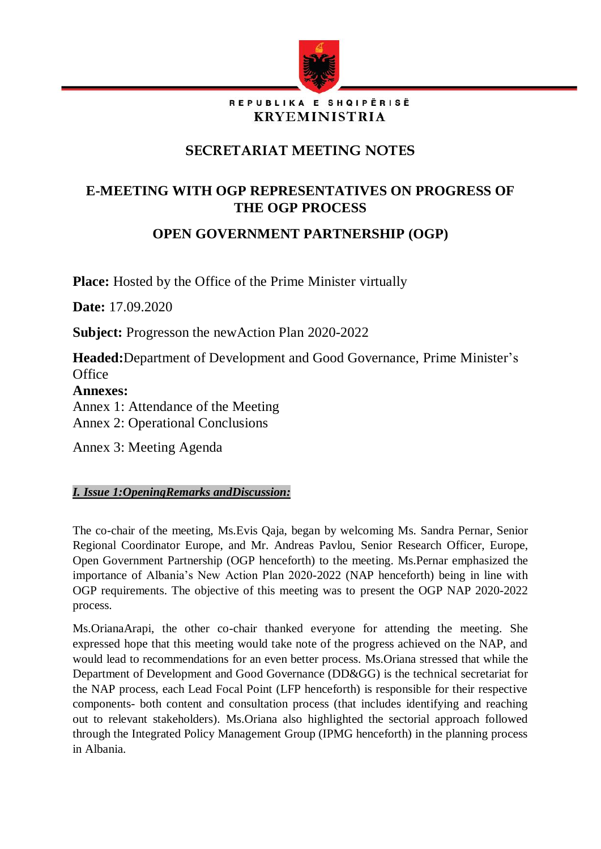

### REPUBLIKA E SHQIPËRISË **KRYEMINISTRIA**

# **SECRETARIAT MEETING NOTES**

# **E-MEETING WITH OGP REPRESENTATIVES ON PROGRESS OF THE OGP PROCESS**

# **OPEN GOVERNMENT PARTNERSHIP (OGP)**

**Place:** Hosted by the Office of the Prime Minister virtually

**Date:** 17.09.2020

**Subject:** Progresson the newAction Plan 2020-2022

**Headed:**Department of Development and Good Governance, Prime Minister's **Office** 

**Annexes:** 

Annex 1: Attendance of the Meeting

Annex 2: Operational Conclusions

Annex 3: Meeting Agenda

# *I. Issue 1:OpeningRemarks andDiscussion:*

The co-chair of the meeting, Ms.Evis Qaja, began by welcoming Ms. Sandra Pernar, Senior Regional Coordinator Europe, and Mr. Andreas Pavlou, Senior Research Officer, Europe, Open Government Partnership (OGP henceforth) to the meeting. Ms.Pernar emphasized the importance of Albania's New Action Plan 2020-2022 (NAP henceforth) being in line with OGP requirements. The objective of this meeting was to present the OGP NAP 2020-2022 process.

Ms.OrianaArapi, the other co-chair thanked everyone for attending the meeting. She expressed hope that this meeting would take note of the progress achieved on the NAP, and would lead to recommendations for an even better process. Ms.Oriana stressed that while the Department of Development and Good Governance (DD&GG) is the technical secretariat for the NAP process, each Lead Focal Point (LFP henceforth) is responsible for their respective components- both content and consultation process (that includes identifying and reaching out to relevant stakeholders). Ms.Oriana also highlighted the sectorial approach followed through the Integrated Policy Management Group (IPMG henceforth) in the planning process in Albania.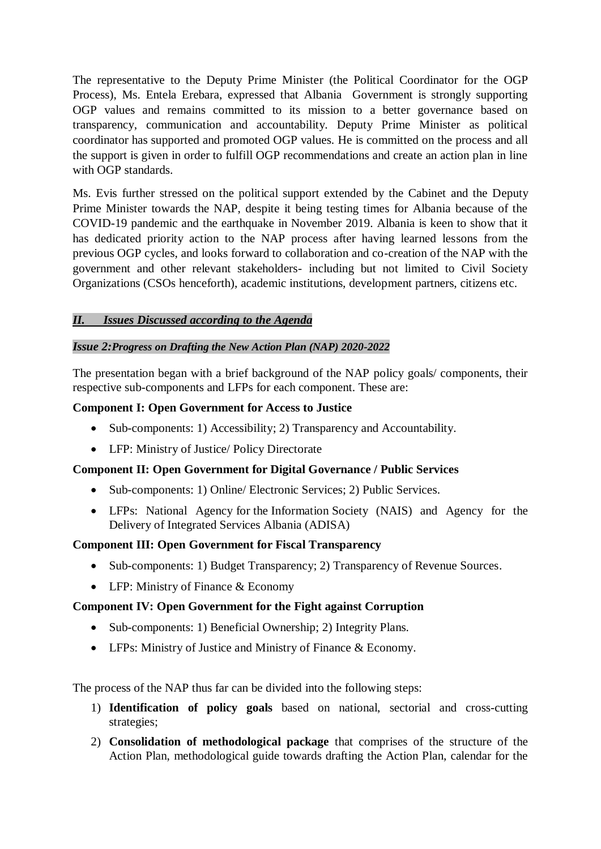The representative to the Deputy Prime Minister (the Political Coordinator for the OGP Process), Ms. Entela Erebara, expressed that Albania Government is strongly supporting OGP values and remains committed to its mission to a better governance based on transparency, communication and accountability. Deputy Prime Minister as political coordinator has supported and promoted OGP values. He is committed on the process and all the support is given in order to fulfill OGP recommendations and create an action plan in line with OGP standards.

Ms. Evis further stressed on the political support extended by the Cabinet and the Deputy Prime Minister towards the NAP, despite it being testing times for Albania because of the COVID-19 pandemic and the earthquake in November 2019. Albania is keen to show that it has dedicated priority action to the NAP process after having learned lessons from the previous OGP cycles, and looks forward to collaboration and co-creation of the NAP with the government and other relevant stakeholders- including but not limited to Civil Society Organizations (CSOs henceforth), academic institutions, development partners, citizens etc.

## *II. Issues Discussed according to the Agenda*

#### *Issue 2:Progress on Drafting the New Action Plan (NAP) 2020-2022*

The presentation began with a brief background of the NAP policy goals/ components, their respective sub-components and LFPs for each component. These are:

#### **Component I: Open Government for Access to Justice**

- Sub-components: 1) Accessibility; 2) Transparency and Accountability.
- LFP: Ministry of Justice/ Policy Directorate

### **Component II: Open Government for Digital Governance / Public Services**

- Sub-components: 1) Online/ Electronic Services; 2) Public Services.
- LFPs: National Agency for the Information Society (NAIS) and Agency for the Delivery of Integrated Services Albania (ADISA)

#### **Component III: Open Government for Fiscal Transparency**

- Sub-components: 1) Budget Transparency; 2) Transparency of Revenue Sources.
- LFP: Ministry of Finance & Economy

### **Component IV: Open Government for the Fight against Corruption**

- Sub-components: 1) Beneficial Ownership; 2) Integrity Plans.
- LFPs: Ministry of Justice and Ministry of Finance & Economy.

The process of the NAP thus far can be divided into the following steps:

- 1) **Identification of policy goals** based on national, sectorial and cross-cutting strategies;
- 2) **Consolidation of methodological package** that comprises of the structure of the Action Plan, methodological guide towards drafting the Action Plan, calendar for the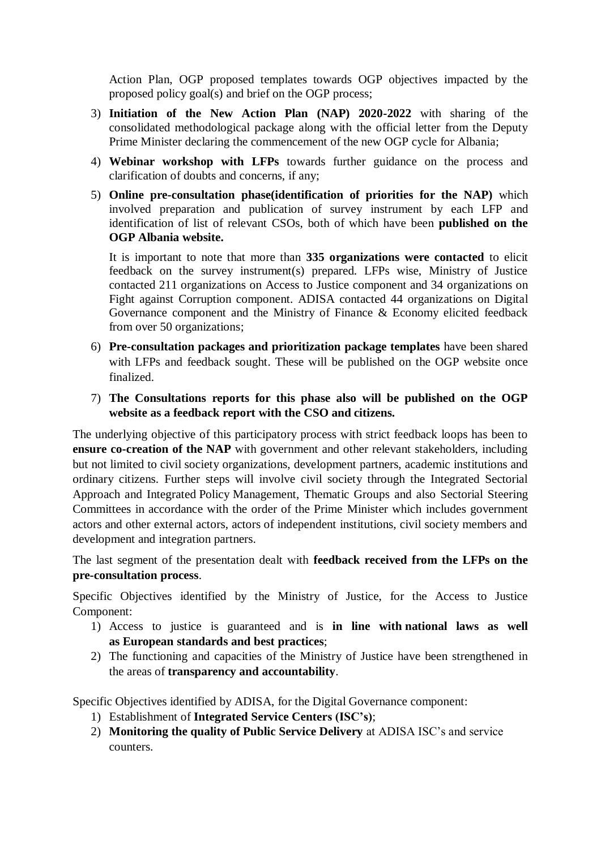Action Plan, OGP proposed templates towards OGP objectives impacted by the proposed policy goal(s) and brief on the OGP process;

- 3) **Initiation of the New Action Plan (NAP) 2020-2022** with sharing of the consolidated methodological package along with the official letter from the Deputy Prime Minister declaring the commencement of the new OGP cycle for Albania;
- 4) **Webinar workshop with LFPs** towards further guidance on the process and clarification of doubts and concerns, if any;
- 5) **Online pre-consultation phase(identification of priorities for the NAP)** which involved preparation and publication of survey instrument by each LFP and identification of list of relevant CSOs, both of which have been **published on the OGP Albania website.**

It is important to note that more than **335 organizations were contacted** to elicit feedback on the survey instrument(s) prepared. LFPs wise, Ministry of Justice contacted 211 organizations on Access to Justice component and 34 organizations on Fight against Corruption component. ADISA contacted 44 organizations on Digital Governance component and the Ministry of Finance & Economy elicited feedback from over 50 organizations;

- 6) **Pre-consultation packages and prioritization package templates** have been shared with LFPs and feedback sought. These will be published on the OGP website once finalized.
- 7) **The Consultations reports for this phase also will be published on the OGP website as a feedback report with the CSO and citizens.**

The underlying objective of this participatory process with strict feedback loops has been to **ensure co-creation of the NAP** with government and other relevant stakeholders, including but not limited to civil society organizations, development partners, academic institutions and ordinary citizens. Further steps will involve civil society through the Integrated Sectorial Approach and Integrated Policy Management, Thematic Groups and also Sectorial Steering Committees in accordance with the order of the Prime Minister which includes government actors and other external actors, actors of independent institutions, civil society members and development and integration partners.

The last segment of the presentation dealt with **feedback received from the LFPs on the pre-consultation process**.

Specific Objectives identified by the Ministry of Justice, for the Access to Justice Component:

- 1) Access to justice is guaranteed and is **in line with national laws as well as European standards and best practices**;
- 2) The functioning and capacities of the Ministry of Justice have been strengthened in the areas of **transparency and accountability**.

Specific Objectives identified by ADISA, for the Digital Governance component:

- 1) Establishment of **Integrated Service Centers (ISC's)**;
- 2) **Monitoring the quality of Public Service Delivery** at ADISA ISC's and service counters.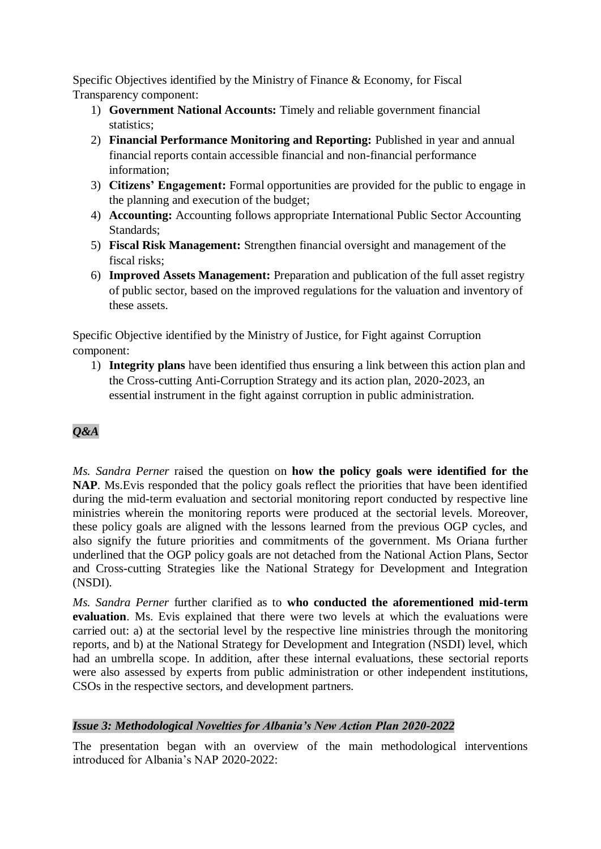Specific Objectives identified by the Ministry of Finance & Economy, for Fiscal Transparency component:

- 1) **Government National Accounts:** Timely and reliable government financial statistics;
- 2) **Financial Performance Monitoring and Reporting:** Published in year and annual financial reports contain accessible financial and non-financial performance information;
- 3) **Citizens' Engagement:** Formal opportunities are provided for the public to engage in the planning and execution of the budget;
- 4) **Accounting:** Accounting follows appropriate International Public Sector Accounting Standards;
- 5) **Fiscal Risk Management:** Strengthen financial oversight and management of the fiscal risks;
- 6) **Improved Assets Management:** Preparation and publication of the full asset registry of public sector, based on the improved regulations for the valuation and inventory of these assets.

Specific Objective identified by the Ministry of Justice, for Fight against Corruption component:

1) **Integrity plans** have been identified thus ensuring a link between this action plan and the Cross-cutting Anti-Corruption Strategy and its action plan, 2020-2023, an essential instrument in the fight against corruption in public administration.

# *Q&A*

*Ms. Sandra Perner* raised the question on **how the policy goals were identified for the NAP**. Ms.Evis responded that the policy goals reflect the priorities that have been identified during the mid-term evaluation and sectorial monitoring report conducted by respective line ministries wherein the monitoring reports were produced at the sectorial levels. Moreover, these policy goals are aligned with the lessons learned from the previous OGP cycles, and also signify the future priorities and commitments of the government. Ms Oriana further underlined that the OGP policy goals are not detached from the National Action Plans, Sector and Cross-cutting Strategies like the National Strategy for Development and Integration (NSDI).

*Ms. Sandra Perner* further clarified as to **who conducted the aforementioned mid-term evaluation**. Ms. Evis explained that there were two levels at which the evaluations were carried out: a) at the sectorial level by the respective line ministries through the monitoring reports, and b) at the National Strategy for Development and Integration (NSDI) level, which had an umbrella scope. In addition, after these internal evaluations, these sectorial reports were also assessed by experts from public administration or other independent institutions, CSOs in the respective sectors, and development partners.

### *Issue 3: Methodological Novelties for Albania's New Action Plan 2020-2022*

The presentation began with an overview of the main methodological interventions introduced for Albania's NAP 2020-2022: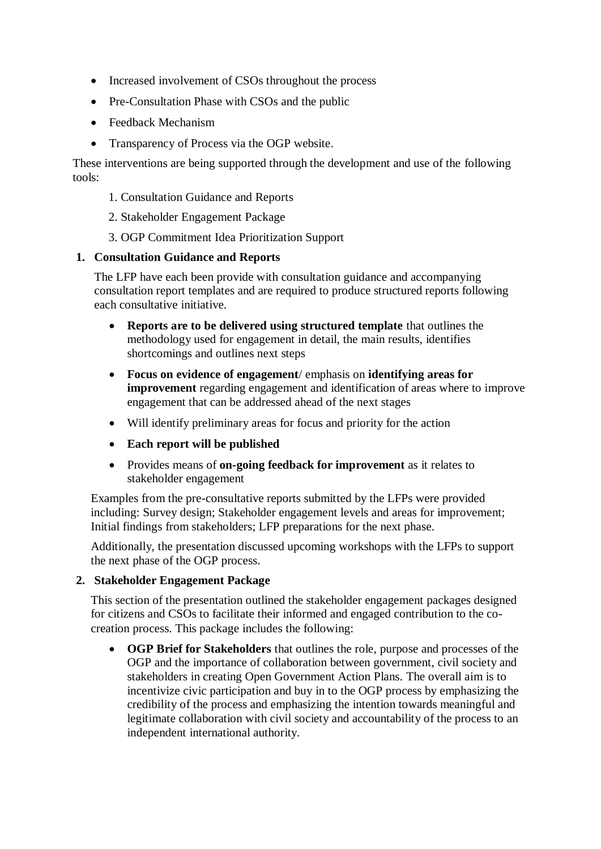- Increased involvement of CSOs throughout the process
- Pre-Consultation Phase with CSOs and the public
- Feedback Mechanism
- Transparency of Process via the OGP website.

These interventions are being supported through the development and use of the following tools:

- 1. Consultation Guidance and Reports
- 2. Stakeholder Engagement Package
- 3. OGP Commitment Idea Prioritization Support

### **1. Consultation Guidance and Reports**

The LFP have each been provide with consultation guidance and accompanying consultation report templates and are required to produce structured reports following each consultative initiative.

- **Reports are to be delivered using structured template** that outlines the methodology used for engagement in detail, the main results, identifies shortcomings and outlines next steps
- **Focus on evidence of engagement**/ emphasis on **identifying areas for improvement** regarding engagement and identification of areas where to improve engagement that can be addressed ahead of the next stages
- Will identify preliminary areas for focus and priority for the action
- **Each report will be published**
- Provides means of **on-going feedback for improvement** as it relates to stakeholder engagement

Examples from the pre-consultative reports submitted by the LFPs were provided including: Survey design; Stakeholder engagement levels and areas for improvement; Initial findings from stakeholders; LFP preparations for the next phase.

Additionally, the presentation discussed upcoming workshops with the LFPs to support the next phase of the OGP process.

### **2. Stakeholder Engagement Package**

This section of the presentation outlined the stakeholder engagement packages designed for citizens and CSOs to facilitate their informed and engaged contribution to the cocreation process. This package includes the following:

• **OGP Brief for Stakeholders** that outlines the role, purpose and processes of the OGP and the importance of collaboration between government, civil society and stakeholders in creating Open Government Action Plans. The overall aim is to incentivize civic participation and buy in to the OGP process by emphasizing the credibility of the process and emphasizing the intention towards meaningful and legitimate collaboration with civil society and accountability of the process to an independent international authority.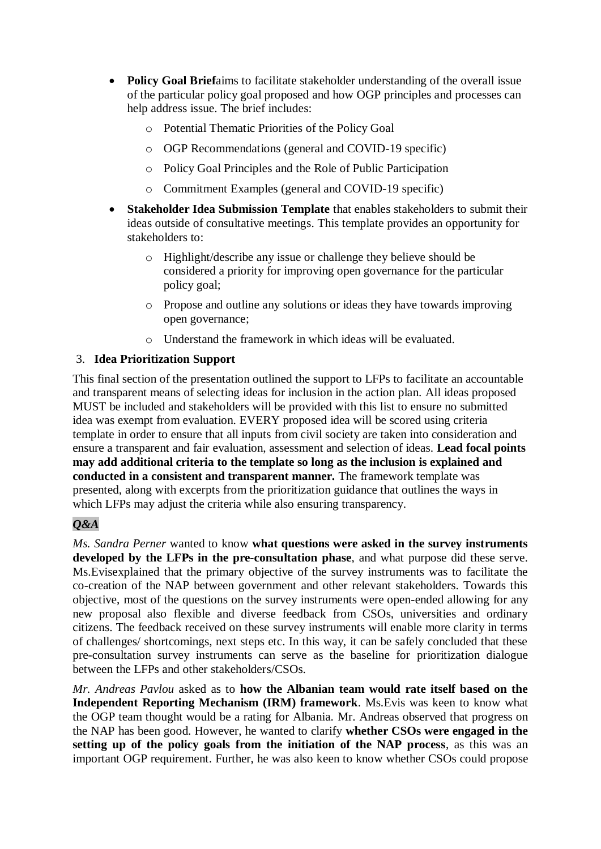- **Policy Goal Brief**aims to facilitate stakeholder understanding of the overall issue of the particular policy goal proposed and how OGP principles and processes can help address issue. The brief includes:
	- o Potential Thematic Priorities of the Policy Goal
	- o OGP Recommendations (general and COVID-19 specific)
	- o Policy Goal Principles and the Role of Public Participation
	- o Commitment Examples (general and COVID-19 specific)
- **Stakeholder Idea Submission Template** that enables stakeholders to submit their ideas outside of consultative meetings. This template provides an opportunity for stakeholders to:
	- o Highlight/describe any issue or challenge they believe should be considered a priority for improving open governance for the particular policy goal;
	- o Propose and outline any solutions or ideas they have towards improving open governance;
	- o Understand the framework in which ideas will be evaluated.

## 3. **Idea Prioritization Support**

This final section of the presentation outlined the support to LFPs to facilitate an accountable and transparent means of selecting ideas for inclusion in the action plan. All ideas proposed MUST be included and stakeholders will be provided with this list to ensure no submitted idea was exempt from evaluation. EVERY proposed idea will be scored using criteria template in order to ensure that all inputs from civil society are taken into consideration and ensure a transparent and fair evaluation, assessment and selection of ideas. **Lead focal points may add additional criteria to the template so long as the inclusion is explained and conducted in a consistent and transparent manner.** The framework template was presented, along with excerpts from the prioritization guidance that outlines the ways in which LFPs may adjust the criteria while also ensuring transparency.

# *Q&A*

*Ms. Sandra Perner* wanted to know **what questions were asked in the survey instruments developed by the LFPs in the pre-consultation phase**, and what purpose did these serve. Ms.Evisexplained that the primary objective of the survey instruments was to facilitate the co-creation of the NAP between government and other relevant stakeholders. Towards this objective, most of the questions on the survey instruments were open-ended allowing for any new proposal also flexible and diverse feedback from CSOs, universities and ordinary citizens. The feedback received on these survey instruments will enable more clarity in terms of challenges/ shortcomings, next steps etc. In this way, it can be safely concluded that these pre-consultation survey instruments can serve as the baseline for prioritization dialogue between the LFPs and other stakeholders/CSOs.

*Mr. Andreas Pavlou* asked as to **how the Albanian team would rate itself based on the Independent Reporting Mechanism (IRM) framework**. Ms.Evis was keen to know what the OGP team thought would be a rating for Albania. Mr. Andreas observed that progress on the NAP has been good. However, he wanted to clarify **whether CSOs were engaged in the setting up of the policy goals from the initiation of the NAP process**, as this was an important OGP requirement. Further, he was also keen to know whether CSOs could propose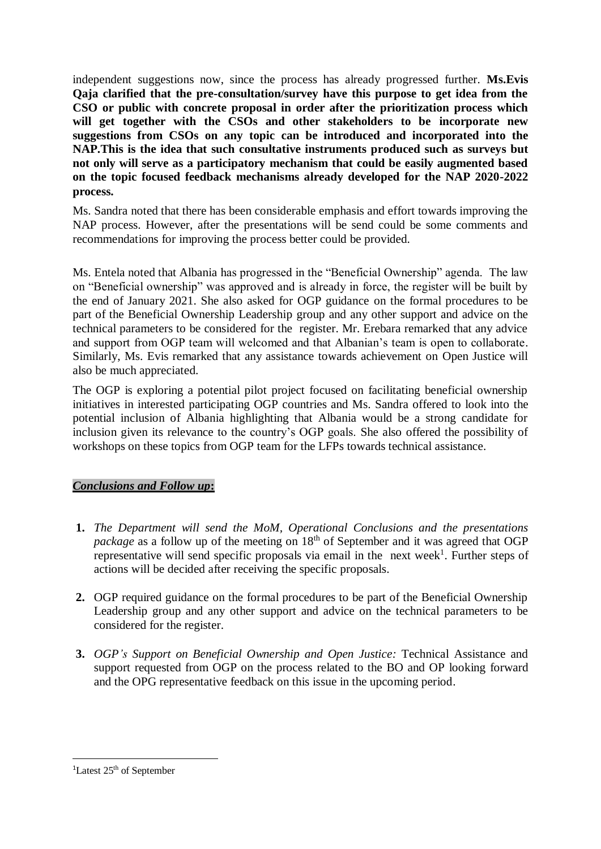independent suggestions now, since the process has already progressed further. **Ms.Evis Qaja clarified that the pre-consultation/survey have this purpose to get idea from the CSO or public with concrete proposal in order after the prioritization process which will get together with the CSOs and other stakeholders to be incorporate new suggestions from CSOs on any topic can be introduced and incorporated into the NAP.This is the idea that such consultative instruments produced such as surveys but not only will serve as a participatory mechanism that could be easily augmented based on the topic focused feedback mechanisms already developed for the NAP 2020-2022 process.** 

Ms. Sandra noted that there has been considerable emphasis and effort towards improving the NAP process. However, after the presentations will be send could be some comments and recommendations for improving the process better could be provided.

Ms. Entela noted that Albania has progressed in the "Beneficial Ownership" agenda. The law on "Beneficial ownership" was approved and is already in force, the register will be built by the end of January 2021. She also asked for OGP guidance on the formal procedures to be part of the Beneficial Ownership Leadership group and any other support and advice on the technical parameters to be considered for the register. Mr. Erebara remarked that any advice and support from OGP team will welcomed and that Albanian's team is open to collaborate. Similarly, Ms. Evis remarked that any assistance towards achievement on Open Justice will also be much appreciated.

The OGP is exploring a potential pilot project focused on facilitating beneficial ownership initiatives in interested participating OGP countries and Ms. Sandra offered to look into the potential inclusion of Albania highlighting that Albania would be a strong candidate for inclusion given its relevance to the country's OGP goals. She also offered the possibility of workshops on these topics from OGP team for the LFPs towards technical assistance.

### *Conclusions and Follow up***:**

- **1.** *The Department will send the MoM, Operational Conclusions and the presentations package* as a follow up of the meeting on 18<sup>th</sup> of September and it was agreed that OGP representative will send specific proposals via email in the next week<sup>1</sup>. Further steps of actions will be decided after receiving the specific proposals.
- **2.** OGP required guidance on the formal procedures to be part of the Beneficial Ownership Leadership group and any other support and advice on the technical parameters to be considered for the register.
- **3.** *OGP's Support on Beneficial Ownership and Open Justice:* Technical Assistance and support requested from OGP on the process related to the BO and OP looking forward and the OPG representative feedback on this issue in the upcoming period.

-

<sup>&</sup>lt;sup>1</sup>Latest 25<sup>th</sup> of September